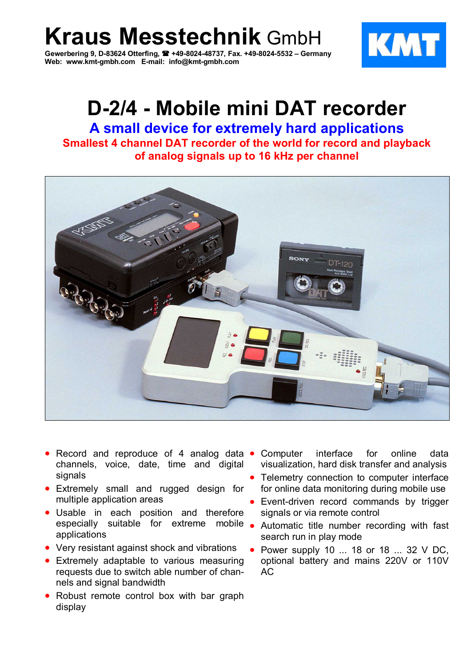**Kraus Messtechnik** GmbH

**Gewerbering 9, D-83624 Otterfing, +49-8024-48737, Fax. +49-8024-5532 – Germany Web: www.kmt-gmbh.com E-mail: info@kmt-gmbh.com**



# **D-2/4 - Mobile mini DAT recorder**

**A small device for extremely hard applications Smallest 4 channel DAT recorder of the world for record and playback of analog signals up to 16 kHz per channel**



- Record and reproduce of 4 analog data channels, voice, date, time and digital signals
- Extremely small and rugged design for multiple application areas
- Usable in each position and therefore especially suitable for extreme mobile . applications
- Very resistant against shock and vibrations
- Extremely adaptable to various measuring requests due to switch able number of channels and signal bandwidth
- Robust remote control box with bar graph display
- Computer interface for online data visualization, hard disk transfer and analysis
- Telemetry connection to computer interface for online data monitoring during mobile use
- Event-driven record commands by trigger signals or via remote control
- Automatic title number recording with fast search run in play mode
- Power supply 10 ... 18 or 18 ... 32 V DC, optional battery and mains 220V or 110V  $AC$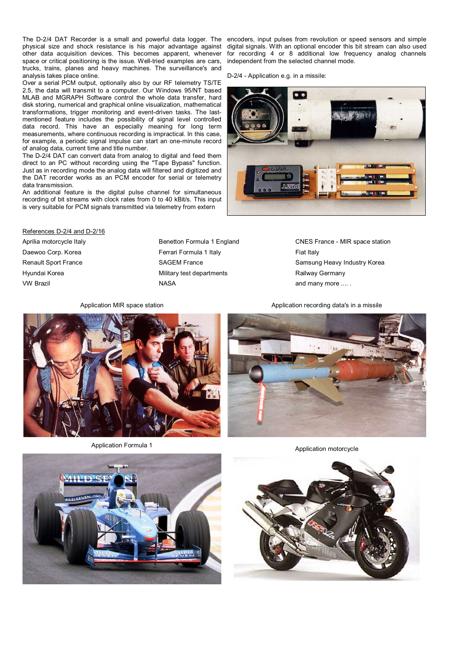The D-2/4 DAT Recorder is a small and powerful data logger. The encoders, input pulses from revolution or speed sensors and simple physical size and shock resistance is his major advantage against other data acquisition devices. This becomes apparent, whenever space or critical positioning is the issue. Well-tried examples are cars, trucks, trains, planes and heavy machines. The surveillance's and analysis takes place online.

Over a serial PCM output, optionally also by our RF telemetry TS/TE 2.5, the data will transmit to a computer. Our Windows 95/NT based MLAB and MGRAPH Software control the whole data transfer, hard disk storing, numerical and graphical online visualization, mathematical transformations, trigger monitoring and event-driven tasks. The lastmentioned feature includes the possibility of signal level controlled data record. This have an especially meaning for long term measurements, where continuous recording is impractical. In this case, for example, a periodic signal impulse can start an one-minute record of analog data, current time and title number.

The D-2/4 DAT can convert data from analog to digital and feed them direct to an PC without recording using the "Tape Bypass" function. Just as in recording mode the analog data will filtered and digitized and the DAT recorder works as an PCM encoder for serial or telemetry data transmission.

An additional feature is the digital pulse channel for simultaneous recording of bit streams with clock rates from 0 to 40 kBit/s. This input is very suitable for PCM signals transmitted via telemetry from extern

digital signals. With an optional encoder this bit stream can also used for recording 4 or 8 additional low frequency analog channels independent from the selected channel mode.

D-2/4 - Application e.g. in a missile:



References D-2/4 and D-2/16

Daewoo Corp. Korea **Fack Corp. Example 2** Ferrari Formula 1 Italy Fiat Italy Fiat Italy Hyundai Korea **Military test departments** Railway Germany VW Brazil **And MASA** and many more .... .

Aprilia motorcycle Italy **Benetton Formula 1 England** CNES France - MIR space station Renault Sport France **SAGEM France** SAGEM France Samsung Heavy Industry Korea

Application MIR space station Application recording data's in a missile





Application Formula 1 Application motorcycle

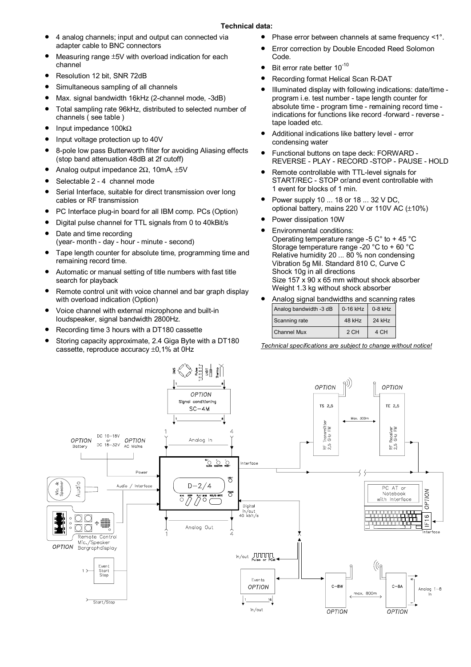- 4 analog channels; input and output can connected via adapter cable to BNC connectors
- Measuring range ±5V with overload indication for each channel
- Resolution 12 bit, SNR 72dB
- Simultaneous sampling of all channels
- Max. signal bandwidth 16kHz (2-channel mode, -3dB)
- Total sampling rate 96kHz, distributed to selected number of channels ( see table )
- Input impedance 100kΩ
- Input voltage protection up to 40V
- 8-pole low pass Butterworth filter for avoiding Aliasing effects (stop band attenuation 48dB at 2f cutoff)
- Analog output impedance 2Ω, 10mA, ±5V
- Selectable 2 4 channel mode
- Serial Interface, suitable for direct transmission over long cables or RF transmission
- PC Interface plug-in board for all IBM comp. PCs (Option)
- Digital pulse channel for TTL signals from 0 to 40kBit/s
- Date and time recording (year- month - day - hour - minute - second)
- Tape length counter for absolute time, programming time and remaining record time.
- Automatic or manual setting of title numbers with fast title search for playback
- Remote control unit with voice channel and bar graph display with overload indication (Option)
- Voice channel with external microphone and built-in loudspeaker, signal bandwidth 2800Hz.
- Recording time 3 hours with a DT180 cassette
- Storing capacity approximate, 2.4 Giga Byte with a DT180 cassette, reproduce accuracy ±0,1% at 0Hz
- Phase error between channels at same frequency <1°.
- Error correction by Double Encoded Reed Solomon Code.
- Bit error rate better  $10^{-10}$
- Recording format Helical Scan R-DAT
- Illuminated display with following indications: date/time program i.e. test number - tape length counter for absolute time - program time - remaining record time indications for functions like record -forward - reverse tape loaded etc.
- Additional indications like battery level error condensing water
- Functional buttons on tape deck: FORWARD REVERSE - PLAY - RECORD -STOP - PAUSE - HOLD
- Remote controllable with TTL-level signals for START/REC - STOP or/and event controllable with 1 event for blocks of 1 min.
- Power supply 10 ... 18 or 18 ... 32 V DC, optional battery, mains 220 V or 110V AC (±10%)
- Power dissipation 10W
- Environmental conditions: Operating temperature range -5 C° to + 45 °C Storage temperature range -20 °C to + 60 °C Relative humidity 20 ... 80 % non condensing Vibration 5g Mil. Standard 810 C, Curve C Shock 10g in all directions Size 157 x 90 x 65 mm without shock absorber Weight 1.3 kg without shock absorber

| Analog signal bandwidths and scanning rates |                  |        |  |
|---------------------------------------------|------------------|--------|--|
| Analog bandwidth -3 dB                      | 0-16 kHz 0-8 kHz |        |  |
| Scanning rate                               | 48 kHz           | 24 kHz |  |
| <b>Channel Mux</b>                          | 2 CH             | 4 CH   |  |

*Technical specifications are subject to change without notice!*